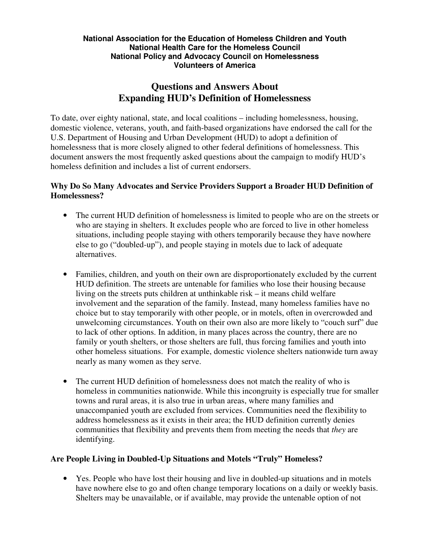#### **National Association for the Education of Homeless Children and Youth National Health Care for the Homeless Council National Policy and Advocacy Council on Homelessness Volunteers of America**

# **Questions and Answers About Expanding HUD's Definition of Homelessness**

To date, over eighty national, state, and local coalitions – including homelessness, housing, domestic violence, veterans, youth, and faith-based organizations have endorsed the call for the U.S. Department of Housing and Urban Development (HUD) to adopt a definition of homelessness that is more closely aligned to other federal definitions of homelessness. This document answers the most frequently asked questions about the campaign to modify HUD's homeless definition and includes a list of current endorsers.

# **Why Do So Many Advocates and Service Providers Support a Broader HUD Definition of Homelessness?**

- The current HUD definition of homelessness is limited to people who are on the streets or who are staying in shelters. It excludes people who are forced to live in other homeless situations, including people staying with others temporarily because they have nowhere else to go ("doubled-up"), and people staying in motels due to lack of adequate alternatives.
- Families, children, and youth on their own are disproportionately excluded by the current HUD definition. The streets are untenable for families who lose their housing because living on the streets puts children at unthinkable risk – it means child welfare involvement and the separation of the family. Instead, many homeless families have no choice but to stay temporarily with other people, or in motels, often in overcrowded and unwelcoming circumstances. Youth on their own also are more likely to "couch surf" due to lack of other options. In addition, in many places across the country, there are no family or youth shelters, or those shelters are full, thus forcing families and youth into other homeless situations. For example, domestic violence shelters nationwide turn away nearly as many women as they serve.
- The current HUD definition of homelessness does not match the reality of who is homeless in communities nationwide. While this incongruity is especially true for smaller towns and rural areas, it is also true in urban areas, where many families and unaccompanied youth are excluded from services. Communities need the flexibility to address homelessness as it exists in their area; the HUD definition currently denies communities that flexibility and prevents them from meeting the needs that *they* are identifying.

### **Are People Living in Doubled-Up Situations and Motels "Truly" Homeless?**

• Yes. People who have lost their housing and live in doubled-up situations and in motels have nowhere else to go and often change temporary locations on a daily or weekly basis. Shelters may be unavailable, or if available, may provide the untenable option of not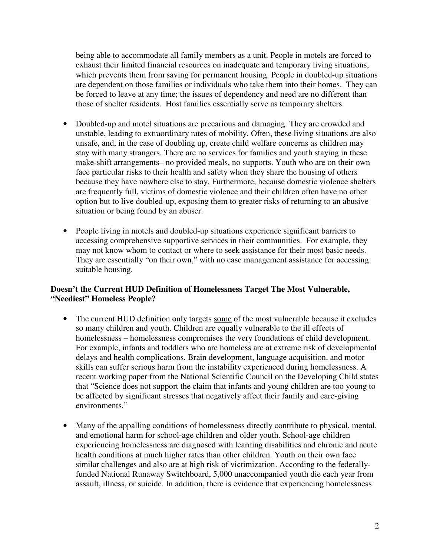being able to accommodate all family members as a unit. People in motels are forced to exhaust their limited financial resources on inadequate and temporary living situations, which prevents them from saving for permanent housing. People in doubled-up situations are dependent on those families or individuals who take them into their homes. They can be forced to leave at any time; the issues of dependency and need are no different than those of shelter residents. Host families essentially serve as temporary shelters.

- Doubled-up and motel situations are precarious and damaging. They are crowded and unstable, leading to extraordinary rates of mobility. Often, these living situations are also unsafe, and, in the case of doubling up, create child welfare concerns as children may stay with many strangers. There are no services for families and youth staying in these make-shift arrangements– no provided meals, no supports. Youth who are on their own face particular risks to their health and safety when they share the housing of others because they have nowhere else to stay. Furthermore, because domestic violence shelters are frequently full, victims of domestic violence and their children often have no other option but to live doubled-up, exposing them to greater risks of returning to an abusive situation or being found by an abuser.
- People living in motels and doubled-up situations experience significant barriers to accessing comprehensive supportive services in their communities. For example, they may not know whom to contact or where to seek assistance for their most basic needs. They are essentially "on their own," with no case management assistance for accessing suitable housing.

### **Doesn't the Current HUD Definition of Homelessness Target The Most Vulnerable, "Neediest" Homeless People?**

- The current HUD definition only targets some of the most vulnerable because it excludes so many children and youth. Children are equally vulnerable to the ill effects of homelessness – homelessness compromises the very foundations of child development. For example, infants and toddlers who are homeless are at extreme risk of developmental delays and health complications. Brain development, language acquisition, and motor skills can suffer serious harm from the instability experienced during homelessness. A recent working paper from the National Scientific Council on the Developing Child states that "Science does not support the claim that infants and young children are too young to be affected by significant stresses that negatively affect their family and care-giving environments."
- Many of the appalling conditions of homelessness directly contribute to physical, mental, and emotional harm for school-age children and older youth. School-age children experiencing homelessness are diagnosed with learning disabilities and chronic and acute health conditions at much higher rates than other children. Youth on their own face similar challenges and also are at high risk of victimization. According to the federallyfunded National Runaway Switchboard, 5,000 unaccompanied youth die each year from assault, illness, or suicide. In addition, there is evidence that experiencing homelessness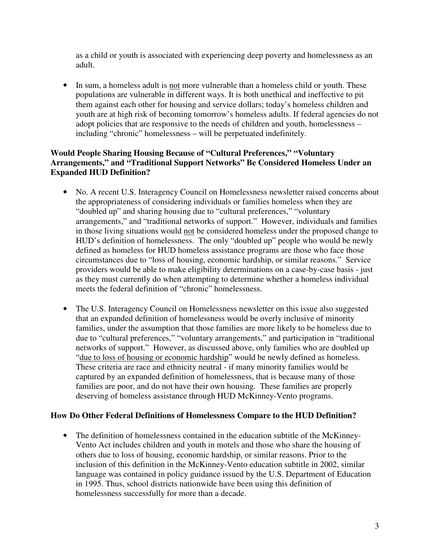as a child or youth is associated with experiencing deep poverty and homelessness as an adult.

• In sum, a homeless adult is not more vulnerable than a homeless child or youth. These populations are vulnerable in different ways. It is both unethical and ineffective to pit them against each other for housing and service dollars; today's homeless children and youth are at high risk of becoming tomorrow's homeless adults. If federal agencies do not adopt policies that are responsive to the needs of children and youth, homelessness – including "chronic" homelessness – will be perpetuated indefinitely.

### **Would People Sharing Housing Because of "Cultural Preferences," "Voluntary Arrangements," and "Traditional Support Networks" Be Considered Homeless Under an Expanded HUD Definition?**

- No. A recent U.S. Interagency Council on Homelessness newsletter raised concerns about the appropriateness of considering individuals or families homeless when they are "doubled up" and sharing housing due to "cultural preferences," "voluntary arrangements," and "traditional networks of support." However, individuals and families in those living situations would not be considered homeless under the proposed change to HUD's definition of homelessness. The only "doubled up" people who would be newly defined as homeless for HUD homeless assistance programs are those who face those circumstances due to "loss of housing, economic hardship, or similar reasons." Service providers would be able to make eligibility determinations on a case-by-case basis - just as they must currently do when attempting to determine whether a homeless individual meets the federal definition of "chronic" homelessness.
- The U.S. Interagency Council on Homelessness newsletter on this issue also suggested that an expanded definition of homelessness would be overly inclusive of minority families, under the assumption that those families are more likely to be homeless due to due to "cultural preferences," "voluntary arrangements," and participation in "traditional networks of support." However, as discussed above, only families who are doubled up "due to loss of housing or economic hardship" would be newly defined as homeless. These criteria are race and ethnicity neutral - if many minority families would be captured by an expanded definition of homelessness, that is because many of those families are poor, and do not have their own housing. These families are properly deserving of homeless assistance through HUD McKinney-Vento programs.

### **How Do Other Federal Definitions of Homelessness Compare to the HUD Definition?**

• The definition of homelessness contained in the education subtitle of the McKinney-Vento Act includes children and youth in motels and those who share the housing of others due to loss of housing, economic hardship, or similar reasons. Prior to the inclusion of this definition in the McKinney-Vento education subtitle in 2002, similar language was contained in policy guidance issued by the U.S. Department of Education in 1995. Thus, school districts nationwide have been using this definition of homelessness successfully for more than a decade.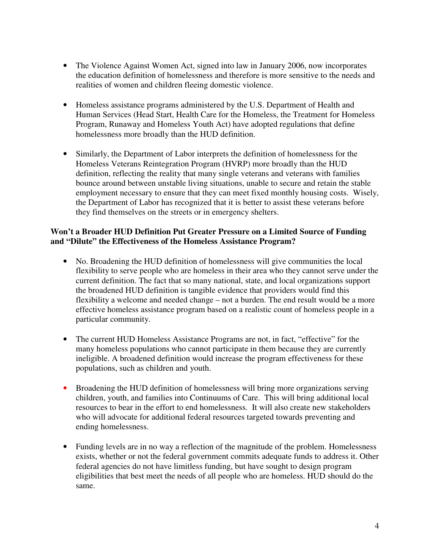- The Violence Against Women Act, signed into law in January 2006, now incorporates the education definition of homelessness and therefore is more sensitive to the needs and realities of women and children fleeing domestic violence.
- Homeless assistance programs administered by the U.S. Department of Health and Human Services (Head Start, Health Care for the Homeless, the Treatment for Homeless Program, Runaway and Homeless Youth Act) have adopted regulations that define homelessness more broadly than the HUD definition.
- Similarly, the Department of Labor interprets the definition of homelessness for the Homeless Veterans Reintegration Program (HVRP) more broadly than the HUD definition, reflecting the reality that many single veterans and veterans with families bounce around between unstable living situations, unable to secure and retain the stable employment necessary to ensure that they can meet fixed monthly housing costs. Wisely, the Department of Labor has recognized that it is better to assist these veterans before they find themselves on the streets or in emergency shelters.

# **Won't a Broader HUD Definition Put Greater Pressure on a Limited Source of Funding and "Dilute" the Effectiveness of the Homeless Assistance Program?**

- No. Broadening the HUD definition of homelessness will give communities the local flexibility to serve people who are homeless in their area who they cannot serve under the current definition. The fact that so many national, state, and local organizations support the broadened HUD definition is tangible evidence that providers would find this flexibility a welcome and needed change – not a burden. The end result would be a more effective homeless assistance program based on a realistic count of homeless people in a particular community.
- The current HUD Homeless Assistance Programs are not, in fact, "effective" for the many homeless populations who cannot participate in them because they are currently ineligible. A broadened definition would increase the program effectiveness for these populations, such as children and youth.
- Broadening the HUD definition of homelessness will bring more organizations serving children, youth, and families into Continuums of Care. This will bring additional local resources to bear in the effort to end homelessness. It will also create new stakeholders who will advocate for additional federal resources targeted towards preventing and ending homelessness.
- Funding levels are in no way a reflection of the magnitude of the problem. Homelessness exists, whether or not the federal government commits adequate funds to address it. Other federal agencies do not have limitless funding, but have sought to design program eligibilities that best meet the needs of all people who are homeless. HUD should do the same.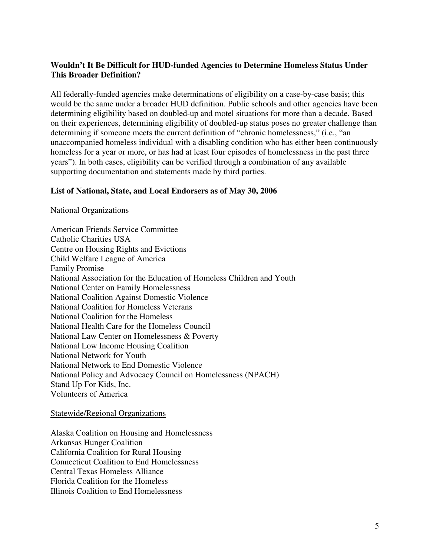# **Wouldn't It Be Difficult for HUD-funded Agencies to Determine Homeless Status Under This Broader Definition?**

All federally-funded agencies make determinations of eligibility on a case-by-case basis; this would be the same under a broader HUD definition. Public schools and other agencies have been determining eligibility based on doubled-up and motel situations for more than a decade. Based on their experiences, determining eligibility of doubled-up status poses no greater challenge than determining if someone meets the current definition of "chronic homelessness," (i.e., "an unaccompanied homeless individual with a disabling condition who has either been continuously homeless for a year or more, or has had at least four episodes of homelessness in the past three years"). In both cases, eligibility can be verified through a combination of any available supporting documentation and statements made by third parties.

#### **List of National, State, and Local Endorsers as of May 30, 2006**

#### National Organizations

American Friends Service Committee Catholic Charities USA Centre on Housing Rights and Evictions Child Welfare League of America Family Promise National Association for the Education of Homeless Children and Youth National Center on Family Homelessness National Coalition Against Domestic Violence National Coalition for Homeless Veterans National Coalition for the Homeless National Health Care for the Homeless Council National Law Center on Homelessness & Poverty National Low Income Housing Coalition National Network for Youth National Network to End Domestic Violence National Policy and Advocacy Council on Homelessness (NPACH) Stand Up For Kids, Inc. Volunteers of America

#### Statewide/Regional Organizations

Alaska Coalition on Housing and Homelessness Arkansas Hunger Coalition California Coalition for Rural Housing Connecticut Coalition to End Homelessness Central Texas Homeless Alliance Florida Coalition for the Homeless Illinois Coalition to End Homelessness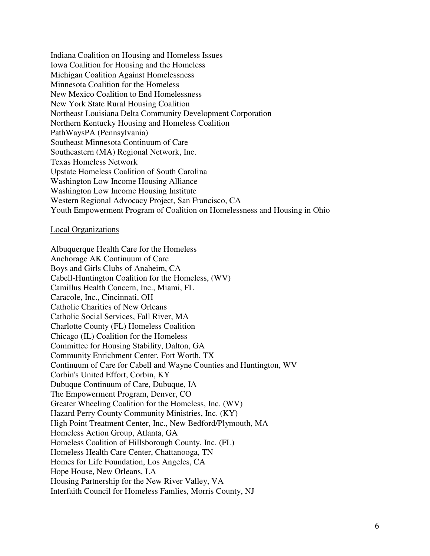Indiana Coalition on Housing and Homeless Issues Iowa Coalition for Housing and the Homeless Michigan Coalition Against Homelessness Minnesota Coalition for the Homeless New Mexico Coalition to End Homelessness New York State Rural Housing Coalition Northeast Louisiana Delta Community Development Corporation Northern Kentucky Housing and Homeless Coalition PathWaysPA (Pennsylvania) Southeast Minnesota Continuum of Care Southeastern (MA) Regional Network, Inc. Texas Homeless Network Upstate Homeless Coalition of South Carolina Washington Low Income Housing Alliance Washington Low Income Housing Institute Western Regional Advocacy Project, San Francisco, CA Youth Empowerment Program of Coalition on Homelessness and Housing in Ohio

#### Local Organizations

Albuquerque Health Care for the Homeless Anchorage AK Continuum of Care Boys and Girls Clubs of Anaheim, CA Cabell-Huntington Coalition for the Homeless, (WV) Camillus Health Concern, Inc., Miami, FL Caracole, Inc., Cincinnati, OH Catholic Charities of New Orleans Catholic Social Services, Fall River, MA Charlotte County (FL) Homeless Coalition Chicago (IL) Coalition for the Homeless Committee for Housing Stability, Dalton, GA Community Enrichment Center, Fort Worth, TX Continuum of Care for Cabell and Wayne Counties and Huntington, WV Corbin's United Effort, Corbin, KY Dubuque Continuum of Care, Dubuque, IA The Empowerment Program, Denver, CO Greater Wheeling Coalition for the Homeless, Inc. (WV) Hazard Perry County Community Ministries, Inc. (KY) High Point Treatment Center, Inc., New Bedford/Plymouth, MA Homeless Action Group, Atlanta, GA Homeless Coalition of Hillsborough County, Inc. (FL) Homeless Health Care Center, Chattanooga, TN Homes for Life Foundation, Los Angeles, CA Hope House, New Orleans, LA Housing Partnership for the New River Valley, VA Interfaith Council for Homeless Famlies, Morris County, NJ